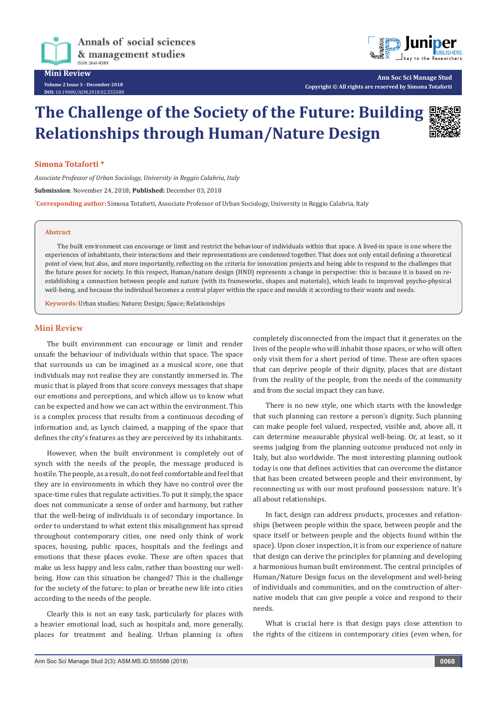

**Volume 2 Issue 3 - December 2018 DOI:** [10.19080/ASM.2018.02.555588](http://dx.doi.org/10.19080/ASM.2018.02.555588)



**Ann Soc Sci Manage Stud Copyright © All rights are reserved by Simona Totaforti**

# **The Challenge of the Society of the Future: Building Relationships through Human/Nature Design**



## **Simona Totaforti \***

*Associate Professor of Urban Sociology, University in Reggio Calabria, Italy* **Submission**: November 24, 2018; **Published:** December 03, 2018 **\* Corresponding author:** Simona Totaforti, Associate Professor of Urban Sociology, University in Reggio Calabria, Italy

### **Abstract**

The built environment can encourage or limit and restrict the behaviour of individuals within that space. A lived-in space is one where the experiences of inhabitants, their interactions and their representations are condensed together. That does not only entail defining a theoretical point of view, but also, and more importantly, reflecting on the criteria for innovation projects and being able to respond to the challenges that the future poses for society. In this respect, Human/nature design (HND) represents a change in perspective: this is because it is based on reestablishing a connection between people and nature (with its frameworks, shapes and materials), which leads to improved psycho-physical well-being, and because the individual becomes a central player within the space and moulds it according to their wants and needs.

**Keywords:** Urban studies; Nature; Design; Space; Relationships

# **Mini Review**

The built environment can encourage or limit and render unsafe the behaviour of individuals within that space. The space that surrounds us can be imagined as a musical score, one that individuals may not realise they are constantly immersed in. The music that is played from that score conveys messages that shape our emotions and perceptions, and which allow us to know what can be expected and how we can act within the environment. This is a complex process that results from a continuous decoding of information and, as Lynch claimed, a mapping of the space that defines the city's features as they are perceived by its inhabitants.

However, when the built environment is completely out of synch with the needs of the people, the message produced is hostile. The people, as a result, do not feel comfortable and feel that they are in environments in which they have no control over the space-time rules that regulate activities. To put it simply, the space does not communicate a sense of order and harmony, but rather that the well-being of individuals is of secondary importance. In order to understand to what extent this misalignment has spread throughout contemporary cities, one need only think of work spaces, housing, public spaces, hospitals and the feelings and emotions that these places evoke. These are often spaces that make us less happy and less calm, rather than boosting our wellbeing. How can this situation be changed? This is the challenge for the society of the future: to plan or breathe new life into cities according to the needs of the people.

Clearly this is not an easy task, particularly for places with a heavier emotional load, such as hospitals and, more generally, places for treatment and healing. Urban planning is often

completely disconnected from the impact that it generates on the lives of the people who will inhabit those spaces, or who will often only visit them for a short period of time. These are often spaces that can deprive people of their dignity, places that are distant from the reality of the people, from the needs of the community and from the social impact they can have.

There is no new style, one which starts with the knowledge that such planning can restore a person's dignity. Such planning can make people feel valued, respected, visible and, above all, it can determine measurable physical well-being. Or, at least, so it seems judging from the planning outcome produced not only in Italy, but also worldwide. The most interesting planning outlook today is one that defines activities that can overcome the distance that has been created between people and their environment, by reconnecting us with our most profound possession: nature. It's all about relationships.

In fact, design can address products, processes and relationships (between people within the space, between people and the space itself or between people and the objects found within the space). Upon closer inspection, it is from our experience of nature that design can derive the principles for planning and developing a harmonious human built environment. The central principles of Human/Nature Design focus on the development and well-being of individuals and communities, and on the construction of alternative models that can give people a voice and respond to their needs.

What is crucial here is that design pays close attention to the rights of the citizens in contemporary cities (even when, for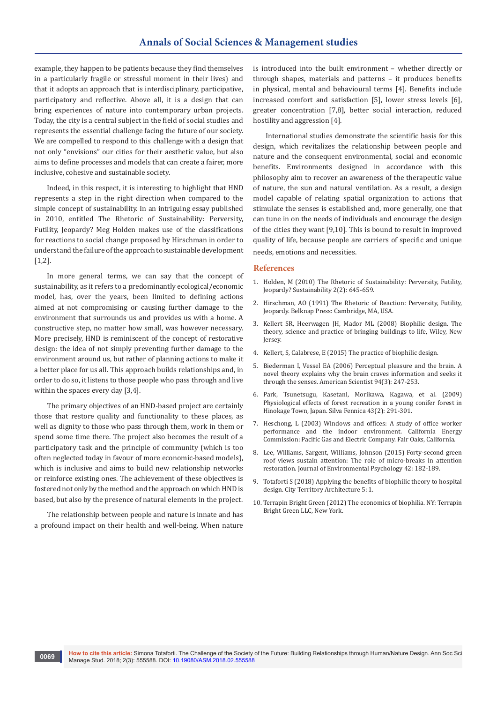example, they happen to be patients because they find themselves in a particularly fragile or stressful moment in their lives) and that it adopts an approach that is interdisciplinary, participative, participatory and reflective. Above all, it is a design that can bring experiences of nature into contemporary urban projects. Today, the city is a central subject in the field of social studies and represents the essential challenge facing the future of our society. We are compelled to respond to this challenge with a design that not only "envisions" our cities for their aesthetic value, but also aims to define processes and models that can create a fairer, more inclusive, cohesive and sustainable society.

Indeed, in this respect, it is interesting to highlight that HND represents a step in the right direction when compared to the simple concept of sustainability. In an intriguing essay published in 2010, entitled The Rhetoric of Sustainability: Perversity, Futility, Jeopardy? Meg Holden makes use of the classifications for reactions to social change proposed by Hirschman in order to understand the failure of the approach to sustainable development  $[1,2]$ .

In more general terms, we can say that the concept of sustainability, as it refers to a predominantly ecological/economic model, has, over the years, been limited to defining actions aimed at not compromising or causing further damage to the environment that surrounds us and provides us with a home. A constructive step, no matter how small, was however necessary. More precisely, HND is reminiscent of the concept of restorative design: the idea of not simply preventing further damage to the environment around us, but rather of planning actions to make it a better place for us all. This approach builds relationships and, in order to do so, it listens to those people who pass through and live within the spaces every day [3,4].

The primary objectives of an HND-based project are certainly those that restore quality and functionality to these places, as well as dignity to those who pass through them, work in them or spend some time there. The project also becomes the result of a participatory task and the principle of community (which is too often neglected today in favour of more economic-based models), which is inclusive and aims to build new relationship networks or reinforce existing ones. The achievement of these objectives is fostered not only by the method and the approach on which HND is based, but also by the presence of natural elements in the project.

The relationship between people and nature is innate and has a profound impact on their health and well-being. When nature is introduced into the built environment – whether directly or through shapes, materials and patterns – it produces benefits in physical, mental and behavioural terms [4]. Benefits include increased comfort and satisfaction [5], lower stress levels [6], greater concentration [7,8], better social interaction, reduced hostility and aggression [4].

International studies demonstrate the scientific basis for this design, which revitalizes the relationship between people and nature and the consequent environmental, social and economic benefits. Environments designed in accordance with this philosophy aim to recover an awareness of the therapeutic value of nature, the sun and natural ventilation. As a result, a design model capable of relating spatial organization to actions that stimulate the senses is established and, more generally, one that can tune in on the needs of individuals and encourage the design of the cities they want [9,10]. This is bound to result in improved quality of life, because people are carriers of specific and unique needs, emotions and necessities.

### **References**

- 1. Holden, M (2010) The Rhetoric of Sustainability: Perversity, Futility, Jeopardy? Sustainability 2(2): 645-659.
- 2. Hirschman, AO (1991) The Rhetoric of Reaction: Perversity, Futility, Jeopardy. Belknap Press: Cambridge, MA, USA.
- 3. Kellert SR, Heerwagen JH, Mador ML (2008) Biophilic design. The theory, science and practice of bringing buildings to life, Wiley, New **Jersey.**
- 4. [Kellert, S, Calabrese, E \(2015\) The practice of biophilic design.](http://media.wix.com/ugd/21459d_7b0461761b9f45e0b3607d14e8523390.pdf)
- 5. Biederman I, Vessel EA (2006) Perceptual pleasure and the brain. A novel theory explains why the brain craves information and seeks it through the senses. American Scientist 94(3): 247-253.
- 6. Park, Tsunetsugu, Kasetani, Morikawa, Kagawa, et al. (2009) Physiological effects of forest recreation in a young conifer forest in Hinokage Town, Japan. Silva Fennica 43(2): 291-301.
- 7. Heschong, L (2003) Windows and offices: A study of office worker performance and the indoor environment. California Energy Commission: Pacific Gas and Electric Company. Fair Oaks, California.
- 8. [Lee, Williams, Sargent, Williams, Johnson \(2015\) Forty-second green](https://www.sciencedirect.com/science/article/abs/pii/S0272494415000328)  [roof views sustain attention: The role of micro-breaks in attention](https://www.sciencedirect.com/science/article/abs/pii/S0272494415000328)  [restoration. Journal of Environmental Psychology 42: 182-189.](https://www.sciencedirect.com/science/article/abs/pii/S0272494415000328)
- 9. Totaforti S (2018) Applying the benefits of biophilic theory to hospital design. City Territory Architecture 5: 1.
- 10. Terrapin Bright Green (2012) The economics of biophilia. NY: Terrapin Bright Green LLC, New York.